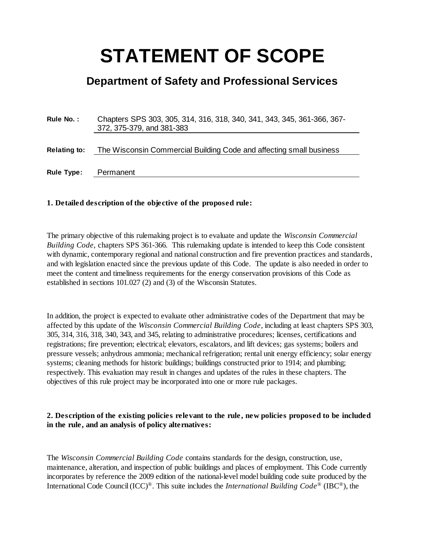# **STATEMENT OF SCOPE**

# **Department of Safety and Professional Services**

**Rule No. :** Chapters SPS 303, 305, 314, 316, 318, 340, 341, 343, 345, 361-366, 367- 372, 375-379, and 381-383

**Relating to:** The Wisconsin Commercial Building Code and affecting small business

**Rule Type:** Permanent

#### **1. Detailed description of the objective of the proposed rule:**

The primary objective of this rulemaking project is to evaluate and update the *Wisconsin Commercial Building Code,* chapters SPS 361-366. This rulemaking update is intended to keep this Code consistent with dynamic, contemporary regional and national construction and fire prevention practices and standards, and with legislation enacted since the previous update of this Code. The update is also needed in order to meet the content and timeliness requirements for the energy conservation provisions of this Code as established in sections 101.027 (2) and (3) of the Wisconsin Statutes.

In addition, the project is expected to evaluate other administrative codes of the Department that may be affected by this update of the *Wisconsin Commercial Building Code*, including at least chapters SPS 303, 305, 314, 316, 318, 340, 343, and 345, relating to administrative procedures; licenses, certifications and registrations; fire prevention; electrical; [elevators,](https://docs.legis.wisconsin.gov/document/administrativecode/ch.%20SPS%20318) escalators, and lift devices; gas systems; boilers and pressure vessels; anhydrous ammonia; mechanical refrigeration; rental unit energy efficiency; solar energy systems; cleaning methods for historic buildings; buildings constructed prior to 1914; and plumbing; respectively. This evaluation may result in changes and updates of the rules in these chapters. The objectives of this rule project may be incorporated into one or more rule packages.

#### **2. Description of the existing policies relevant to the rule , new policies proposed to be included in the rule, and an analysis of policy alternatives:**

The *Wisconsin Commercial Building Code* contains standards for the design, construction, use, maintenance, alteration, and inspection of public buildings and places of employment. This Code currently incorporates by reference the 2009 edition of the national-level model building code suite produced by the International Code Council(ICC)®. This suite includes the *International Building Code®* (IBC®), the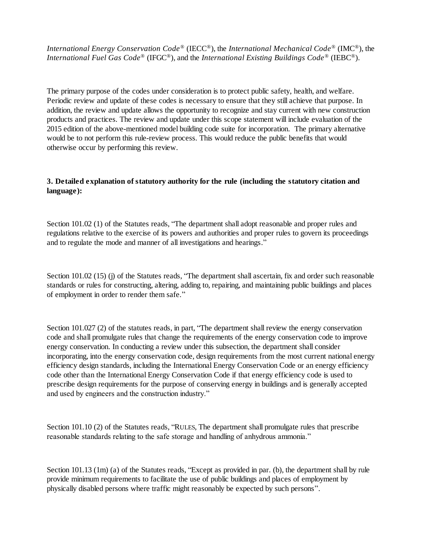*International Energy Conservation Code®* (IECC®), the *International Mechanical Code®* (IMC®), the *International Fuel Gas Code®* (IFGC®), and the *International Existing Buildings Code®* (IEBC®).

The primary purpose of the codes under consideration is to protect public safety, health, and welfare. Periodic review and update of these codes is necessary to ensure that they still achieve that purpose. In addition, the review and update allows the opportunity to recognize and stay current with new construction products and practices. The review and update under this scope statement will include evaluation of the 2015 edition of the above-mentioned model building code suite for incorporation. The primary alternative would be to not perform this rule-review process. This would reduce the public benefits that would otherwise occur by performing this review.

# **3. Detailed explanation of statutory authority for the rule (including the statutory citation and language):**

Section 101.02 (1) of the Statutes reads, "The department shall adopt reasonable and proper rules and regulations relative to the exercise of its powers and authorities and proper rules to govern its proceedings and to regulate the mode and manner of all investigations and hearings."

Section 101.02 (15) (j) of the Statutes reads, "The department shall ascertain, fix and order such reasonable standards or rules for constructing, altering, adding to, repairing, and maintaining public buildings and places of employment in order to render them safe."

Section 101.027 (2) of the statutes reads, in part, "The department shall review the energy conservation code and shall promulgate rules that change the requirements of the energy conservation code to improve energy conservation. In conducting a review under this subsection, the department shall consider incorporating, into the energy conservation code, design requirements from the most current national energy efficiency design standards, including the International Energy Conservation Code or an energy efficiency code other than the International Energy Conservation Code if that energy efficiency code is used to prescribe design requirements for the purpose of conserving energy in buildings and is generally accepted and used by engineers and the construction industry."

Section 101.10 (2) of the Statutes reads, "RULES, The department shall promulgate rules that prescribe reasonable standards relating to the safe storage and handling of anhydrous ammonia."

Section 101.13 (1m) (a) of the Statutes reads, "Except as provided in par. (b), the department shall by rule provide minimum requirements to facilitate the use of public buildings and places of employment by physically disabled persons where traffic might reasonably be expected by such persons".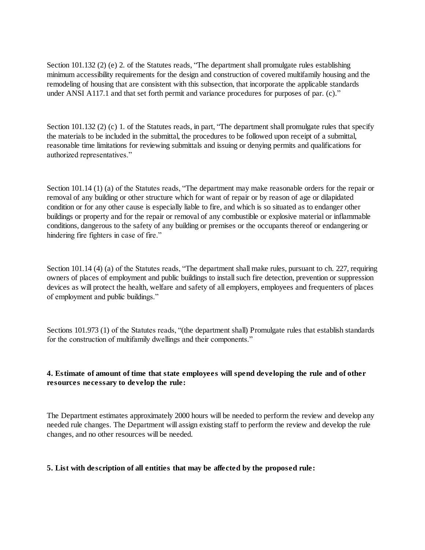Section 101.132 (2) (e) 2. of the Statutes reads, "The department shall promulgate rules establishing minimum accessibility requirements for the design and construction of covered multifamily housing and the remodeling of housing that are consistent with this subsection, that incorporate the applicable standards under ANSI A117.1 and that set forth permit and variance procedures for purposes of par. (c)."

Section 101.132 (2) (c) 1. of the Statutes reads, in part, "The department shall promulgate rules that specify the materials to be included in the submittal, the procedures to be followed upon receipt of a submittal, reasonable time limitations for reviewing submittals and issuing or denying permits and qualifications for authorized representatives."

Section 101.14 (1) (a) of the Statutes reads, "The department may make reasonable orders for the repair or removal of any building or other structure which for want of repair or by reason of age or dilapidated condition or for any other cause is especially liable to fire, and which is so situated as to endanger other buildings or property and for the repair or removal of any combustible or explosive material or inflammable conditions, dangerous to the safety of any building or premises or the occupants thereof or endangering or hindering fire fighters in case of fire."

Section 101.14 (4) (a) of the Statutes reads, "The department shall make rules, pursuant to ch. 227, requiring owners of places of employment and public buildings to install such fire detection, prevention or suppression devices as will protect the health, welfare and safety of all employers, employees and frequenters of places of employment and public buildings."

Sections 101.973 (1) of the Statutes reads, "(the department shall) Promulgate rules that establish standards for the construction of multifamily dwellings and their components."

# **4. Estimate of amount of time that state employees will spend developing the rule and of other resources necessary to develop the rule:**

The Department estimates approximately 2000 hours will be needed to perform the review and develop any needed rule changes. The Department will assign existing staff to perform the review and develop the rule changes, and no other resources will be needed.

#### **5. List with description of all entities that may be affected by the proposed rule:**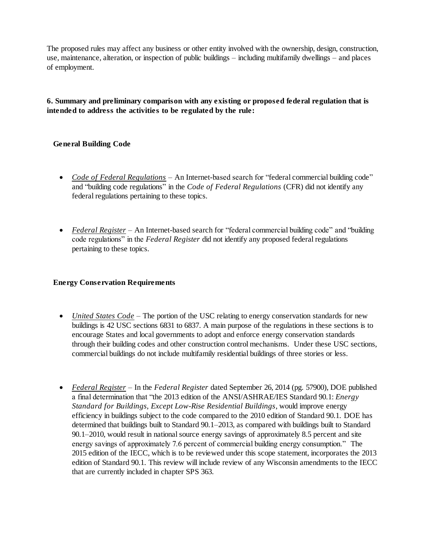The proposed rules may affect any business or other entity involved with the ownership, design, construction, use, maintenance, alteration, or inspection of public buildings – including multifamily dwellings – and places of employment.

# **6. Summary and preliminary comparison with any existing or proposed federal regulation that is intended to address the activities to be regulated by the rule:**

# **General Building Code**

- *Code of Federal Regulations* An Internet-based search for "federal commercial building code" and "building code regulations" in the *Code of Federal Regulations* (CFR) did not identify any federal regulations pertaining to these topics.
- *Federal Register –* An Internet-based search for "federal commercial building code" and "building code regulations" in the *Federal Register* did not identify any proposed federal regulations pertaining to these topics.

# **Energy Conservation Requirements**

- *United States Code* The portion of the USC relating to energy conservation standards for new buildings is 42 USC sections 6831 to 6837. A main purpose of the regulations in these sections is to encourage States and local governments to adopt and enforce energy conservation standards through their building codes and other construction control mechanisms. Under these USC sections, commercial buildings do not include multifamily residential buildings of three stories or less.
- *Federal Register –* In the *Federal Register* dated September 26, 2014 (pg. 57900), DOE published a final determination that "the 2013 edition of the ANSI/ASHRAE/IES Standard 90.1: *Energy Standard for Buildings, Except Low-Rise Residential Buildings*, would improve energy efficiency in buildings subject to the code compared to the 2010 edition of Standard 90.1. DOE has determined that buildings built to Standard 90.1–2013, as compared with buildings built to Standard 90.1–2010, would result in national source energy savings of approximately 8.5 percent and site energy savings of approximately 7.6 percent of commercial building energy consumption." The 2015 edition of the IECC, which is to be reviewed under this scope statement, incorporates the 2013 edition of Standard 90.1. This review will include review of any Wisconsin amendments to the IECC that are currently included in chapter SPS 363.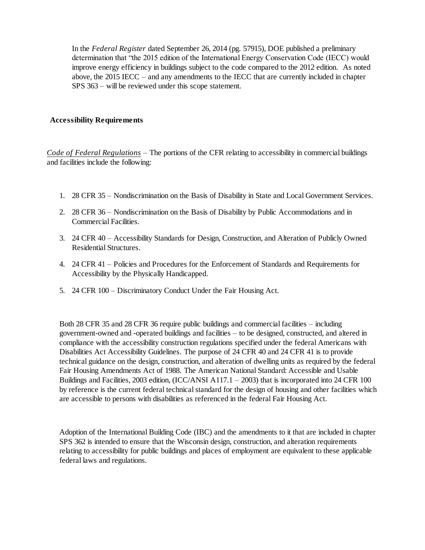In the *Federal Register* dated September 26, 2014 (pg. 57915), DOE published a preliminary determination that "the 2015 edition of the International Energy Conservation Code (IECC) would improve energy efficiency in buildings subject to the code compared to the 2012 edition. As noted above, the 2015 IECC – and any amendments to the IECC that are currently included in chapter SPS 363 – will be reviewed under this scope statement.

#### **Accessibility Requirements**

*Code of Federal Regulations –* The portions of the CFR relating to accessibility in commercial buildings and facilities include the following:

- 1. 28 CFR 35 Nondiscrimination on the Basis of Disability in State and Local Government Services.
- 2. 28 CFR 36 Nondiscrimination on the Basis of Disability by Public Accommodations and in Commercial Facilities.
- 3. 24 CFR 40 Accessibility Standards for Design, Construction, and Alteration of Publicly Owned Residential Structures.
- 4. 24 CFR 41 Policies and Procedures for the Enforcement of Standards and Requirements for Accessibility by the Physically Handicapped.
- 5. 24 CFR 100 Discriminatory Conduct Under the Fair Housing Act.

Both 28 CFR 35 and 28 CFR 36 require public buildings and commercial facilities – including government-owned and -operated buildings and facilities – to be designed, constructed, and altered in compliance with the accessibility construction regulations specified under the federal Americans with Disabilities Act Accessibility Guidelines. The purpose of 24 CFR 40 and 24 CFR 41 is to provide technical guidance on the design, construction, and alteration of dwelling units as required by the federal Fair Housing Amendments Act of 1988. The American National Standard: Accessible and Usable Buildings and Facilities, 2003 edition, (ICC/ANSI A117.1 – 2003) that is incorporated into 24 CFR 100 by reference is the current federal technical standard for the design of housing and other facilities which are accessible to persons with disabilities as referenced in the federal Fair Housing Act.

Adoption of the International Building Code (IBC) and the amendments to it that are included in chapter SPS 362 is intended to ensure that the Wisconsin design, construction, and alteration requirements relating to accessibility for public buildings and places of employment are equivalent to these applicable federal laws and regulations.